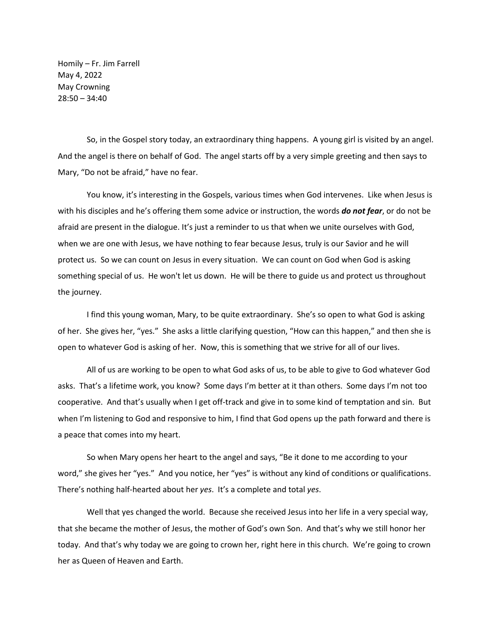Homily – Fr. Jim Farrell May 4, 2022 May Crowning 28:50 – 34:40

So, in the Gospel story today, an extraordinary thing happens. A young girl is visited by an angel. And the angel is there on behalf of God. The angel starts off by a very simple greeting and then says to Mary, "Do not be afraid," have no fear.

You know, it's interesting in the Gospels, various times when God intervenes. Like when Jesus is with his disciples and he's offering them some advice or instruction, the words *do not fear*, or do not be afraid are present in the dialogue. It's just a reminder to us that when we unite ourselves with God, when we are one with Jesus, we have nothing to fear because Jesus, truly is our Savior and he will protect us. So we can count on Jesus in every situation. We can count on God when God is asking something special of us. He won't let us down. He will be there to guide us and protect us throughout the journey.

I find this young woman, Mary, to be quite extraordinary. She's so open to what God is asking of her. She gives her, "yes." She asks a little clarifying question, "How can this happen," and then she is open to whatever God is asking of her. Now, this is something that we strive for all of our lives.

All of us are working to be open to what God asks of us, to be able to give to God whatever God asks. That's a lifetime work, you know? Some days I'm better at it than others. Some days I'm not too cooperative. And that's usually when I get off-track and give in to some kind of temptation and sin. But when I'm listening to God and responsive to him, I find that God opens up the path forward and there is a peace that comes into my heart.

So when Mary opens her heart to the angel and says, "Be it done to me according to your word," she gives her "yes." And you notice, her "yes" is without any kind of conditions or qualifications. There's nothing half-hearted about her *yes*. It's a complete and total *yes*.

Well that yes changed the world. Because she received Jesus into her life in a very special way, that she became the mother of Jesus, the mother of God's own Son. And that's why we still honor her today. And that's why today we are going to crown her, right here in this church. We're going to crown her as Queen of Heaven and Earth.